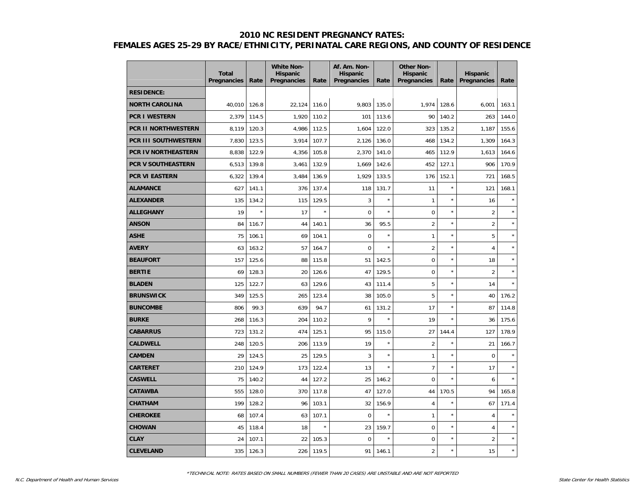|                             | <b>Total</b><br>Pregnancies | Rate    | <b>White Non-</b><br><b>Hispanic</b><br>Pregnancies | Rate    | Af. Am. Non-<br><b>Hispanic</b><br>Pregnancies | Rate    | <b>Other Non-</b><br><b>Hispanic</b><br>Pregnancies | Rate    | <b>Hispanic</b><br>Pregnancies | Rate    |
|-----------------------------|-----------------------------|---------|-----------------------------------------------------|---------|------------------------------------------------|---------|-----------------------------------------------------|---------|--------------------------------|---------|
| <b>RESIDENCE:</b>           |                             |         |                                                     |         |                                                |         |                                                     |         |                                |         |
| <b>NORTH CAROLINA</b>       | 40,010                      | 126.8   | 22,124                                              | 116.0   | 9,803                                          | 135.0   | 1,974                                               | 128.6   | 6,001                          | 163.1   |
| <b>PCR I WESTERN</b>        | 2,379                       | 114.5   | 1,920                                               | 110.2   | 101                                            | 113.6   | 90                                                  | 140.2   | 263                            | 144.0   |
| <b>PCR II NORTHWESTERN</b>  | 8,119                       | 120.3   | 4,986                                               | 112.5   | 1,604                                          | 122.0   | 323                                                 | 135.2   | 1,187                          | 155.6   |
| <b>PCR III SOUTHWESTERN</b> | 7,830                       | 123.5   | 3,914                                               | 107.7   | 2,126                                          | 136.0   | 468                                                 | 134.2   | 1,309                          | 164.3   |
| <b>PCR IV NORTHEASTERN</b>  | 8,838                       | 122.9   | 4,356                                               | 105.8   | 2,370                                          | 141.0   | 465                                                 | 112.9   | 1,613                          | 164.6   |
| <b>PCR V SOUTHEASTERN</b>   | 6,513                       | 139.8   | 3,461                                               | 132.9   | 1,669                                          | 142.6   | 452                                                 | 127.1   | 906                            | 170.9   |
| <b>PCR VI EASTERN</b>       | 6,322                       | 139.4   | 3,484                                               | 136.9   | 1,929                                          | 133.5   | 176                                                 | 152.1   | 721                            | 168.5   |
| <b>ALAMANCE</b>             | 627                         | 141.1   | 376                                                 | 137.4   | 118                                            | 131.7   | 11                                                  | ×       | 121                            | 168.1   |
| <b>ALEXANDER</b>            | 135                         | 134.2   | 115                                                 | 129.5   | 3                                              | $\star$ | $\mathbf{1}$                                        | $\star$ | 16                             |         |
| <b>ALLEGHANY</b>            | 19                          | $\star$ | 17                                                  | $\star$ | $\mathbf 0$                                    | $\star$ | $\mathbf 0$                                         | $\star$ | $\overline{2}$                 |         |
| <b>ANSON</b>                | 84                          | 116.7   | 44                                                  | 140.1   | 36                                             | 95.5    | $\overline{2}$                                      | ×       | $\overline{2}$                 |         |
| <b>ASHE</b>                 | 75                          | 106.1   | 69                                                  | 104.1   | $\mathbf 0$                                    | $\star$ | $\mathbf{1}$                                        | ×       | 5                              |         |
| <b>AVERY</b>                | 63                          | 163.2   | 57                                                  | 164.7   | $\Omega$                                       | $\star$ | $\overline{2}$                                      | ×       | $\overline{4}$                 |         |
| <b>BEAUFORT</b>             | 157                         | 125.6   | 88                                                  | 115.8   | 51                                             | 142.5   | $\mathbf 0$                                         | $\star$ | 18                             | $\star$ |
| <b>BERTIE</b>               | 69                          | 128.3   | 20                                                  | 126.6   | 47                                             | 129.5   | $\mathbf 0$                                         | $\star$ | $\overline{2}$                 | $\star$ |
| <b>BLADEN</b>               | 125                         | 122.7   | 63                                                  | 129.6   | 43                                             | 111.4   | 5                                                   | ×       | 14                             |         |
| <b>BRUNSWICK</b>            | 349                         | 125.5   | 265                                                 | 123.4   | 38                                             | 105.0   | 5                                                   | ×       | 40                             | 176.2   |
| <b>BUNCOMBE</b>             | 806                         | 99.3    | 639                                                 | 94.7    | 61                                             | 131.2   | 17                                                  | ×       | 87                             | 114.8   |
| <b>BURKE</b>                | 268                         | 116.3   | 204                                                 | 110.2   | 9                                              | $\star$ | 19                                                  | $\star$ | 36                             | 175.6   |
| <b>CABARRUS</b>             | 723                         | 131.2   | 474                                                 | 125.1   | 95                                             | 115.0   | 27                                                  | 144.4   | 127                            | 178.9   |
| <b>CALDWELL</b>             | 248                         | 120.5   | 206                                                 | 113.9   | 19                                             | $\star$ | $\overline{2}$                                      | $\star$ | 21                             | 166.7   |
| <b>CAMDEN</b>               | 29                          | 124.5   | 25                                                  | 129.5   | 3                                              | $\star$ | $\mathbf{1}$                                        | ×       | $\mathbf 0$                    |         |
| <b>CARTERET</b>             | 210                         | 124.9   | 173                                                 | 122.4   | 13                                             | $\star$ | $\overline{7}$                                      | ×       | 17                             |         |
| <b>CASWELL</b>              | 75                          | 140.2   | 44                                                  | 127.2   | 25                                             | 146.2   | $\Omega$                                            | ×       | 6                              |         |
| <b>CATAWBA</b>              | 555                         | 128.0   | 370                                                 | 117.8   | 47                                             | 127.0   | 44                                                  | 170.5   | 94                             | 165.8   |
| <b>CHATHAM</b>              | 199                         | 128.2   | 96                                                  | 103.1   | 32                                             | 156.9   | $\overline{4}$                                      | $\star$ | 67                             | 171.4   |
| <b>CHEROKEE</b>             | 68                          | 107.4   | 63                                                  | 107.1   | $\mathbf 0$                                    |         | $\mathbf{1}$                                        | ×       | $\overline{4}$                 |         |
| <b>CHOWAN</b>               | 45                          | 118.4   | 18                                                  | $\star$ | 23                                             | 159.7   | $\mathbf 0$                                         | ×       | $\overline{4}$                 |         |
| <b>CLAY</b>                 | 24                          | 107.1   | 22                                                  | 105.3   | $\mathbf 0$                                    |         | $\mathbf 0$                                         | ×       | $\overline{2}$                 | ×       |
| <b>CLEVELAND</b>            | 335                         | 126.3   | 226                                                 | 119.5   | 91                                             | 146.1   | $\overline{c}$                                      | ×       | 15                             | $\star$ |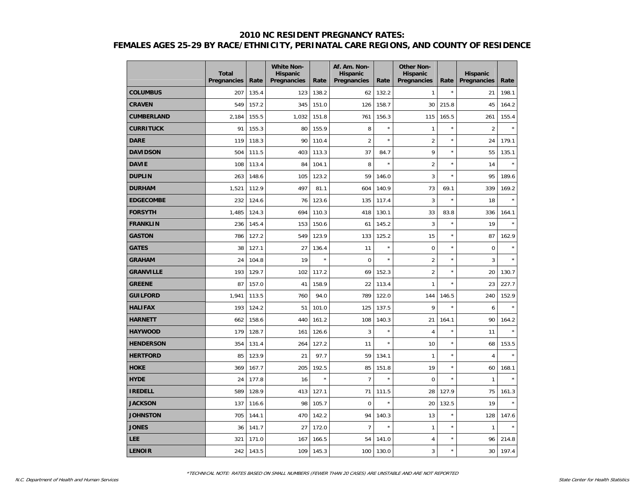|                   | <b>Total</b><br>Pregnancies | Rate  | <b>White Non-</b><br><b>Hispanic</b><br>Pregnancies | Rate    | Af. Am. Non-<br><b>Hispanic</b><br>Pregnancies | Rate    | <b>Other Non-</b><br><b>Hispanic</b><br>Pregnancies | Rate       | <b>Hispanic</b><br>Pregnancies | Rate    |
|-------------------|-----------------------------|-------|-----------------------------------------------------|---------|------------------------------------------------|---------|-----------------------------------------------------|------------|--------------------------------|---------|
| <b>COLUMBUS</b>   | 207                         | 135.4 | 123                                                 | 138.2   | 62                                             | 132.2   | $\mathbf{1}$                                        | $\star$    | 21                             | 198.1   |
| <b>CRAVEN</b>     | 549                         | 157.2 | 345                                                 | 151.0   | 126                                            | 158.7   | 30                                                  | 215.8      | 45                             | 164.2   |
| <b>CUMBERLAND</b> | 2,184                       | 155.5 | 1,032                                               | 151.8   | 761                                            | 156.3   | 115                                                 | 165.5      | 261                            | 155.4   |
| <b>CURRITUCK</b>  | 91                          | 155.3 | 80                                                  | 155.9   | 8                                              | $\star$ | $\mathbf{1}$                                        | $\star$    | $\overline{2}$                 | $\star$ |
| <b>DARE</b>       | 119                         | 118.3 | 90                                                  | 110.4   | $\overline{2}$                                 | $\star$ | $\overline{2}$                                      | ×          | 24                             | 179.1   |
| <b>DAVIDSON</b>   | 504                         | 111.5 | 403                                                 | 113.3   | 37                                             | 84.7    | 9                                                   | ×          | 55                             | 135.1   |
| <b>DAVIE</b>      | 108                         | 113.4 | 84                                                  | 104.1   | 8                                              | $\star$ | $\overline{2}$                                      | ×          | 14                             | $\star$ |
| <b>DUPLIN</b>     | 263                         | 148.6 | 105                                                 | 123.2   | 59                                             | 146.0   | 3                                                   | ×          | 95                             | 189.6   |
| <b>DURHAM</b>     | 1,521                       | 112.9 | 497                                                 | 81.1    | 604                                            | 140.9   | 73                                                  | 69.1       | 339                            | 169.2   |
| <b>EDGECOMBE</b>  | 232                         | 124.6 | 76                                                  | 123.6   | 135                                            | 117.4   | 3                                                   | $\star$    | 18                             | $\star$ |
| <b>FORSYTH</b>    | 1,485                       | 124.3 | 694                                                 | 110.3   | 418                                            | 130.1   | 33                                                  | 83.8       | 336                            | 164.1   |
| <b>FRANKLIN</b>   | 236                         | 145.4 | 153                                                 | 150.6   | 61                                             | 145.2   | 3                                                   | ×          | 19                             |         |
| <b>GASTON</b>     | 786                         | 127.2 | 549                                                 | 123.9   | 133                                            | 125.2   | 15                                                  | ×          | 87                             | 162.9   |
| <b>GATES</b>      | 38                          | 127.1 | 27                                                  | 136.4   | 11                                             | $\star$ | $\mathbf 0$                                         | $\star$    | $\pmb{0}$                      |         |
| <b>GRAHAM</b>     | 24                          | 104.8 | 19                                                  | $\star$ | $\mathbf 0$                                    | $\star$ | $\overline{2}$                                      | $\star$    | 3                              | $\star$ |
| <b>GRANVILLE</b>  | 193                         | 129.7 | 102                                                 | 117.2   | 69                                             | 152.3   | $\overline{2}$                                      | $^{\star}$ | 20                             | 130.7   |
| <b>GREENE</b>     | 87                          | 157.0 | 41                                                  | 158.9   | 22                                             | 113.4   | 1                                                   | ×          | 23                             | 227.7   |
| <b>GUILFORD</b>   | 1,941                       | 113.5 | 760                                                 | 94.0    | 789                                            | 122.0   | 144                                                 | 146.5      | 240                            | 152.9   |
| <b>HALIFAX</b>    | 193                         | 124.2 | 51                                                  | 101.0   | 125                                            | 137.5   | 9                                                   | ×          | 6                              | ×       |
| <b>HARNETT</b>    | 662                         | 158.6 | 440                                                 | 161.2   | 108                                            | 140.3   | 21                                                  | 164.1      | 90                             | 164.2   |
| <b>HAYWOOD</b>    | 179                         | 128.7 | 161                                                 | 126.6   | $\mathbf{3}$                                   | $\star$ | 4                                                   | $\star$    | 11                             |         |
| <b>HENDERSON</b>  | 354                         | 131.4 | 264                                                 | 127.2   | 11                                             | $\star$ | 10                                                  | $\star$    | 68                             | 153.5   |
| <b>HERTFORD</b>   | 85                          | 123.9 | 21                                                  | 97.7    | 59                                             | 134.1   | $\mathbf{1}$                                        | ×          | $\overline{4}$                 | ×       |
| <b>HOKE</b>       | 369                         | 167.7 | 205                                                 | 192.5   | 85                                             | 151.8   | 19                                                  | ×          | 60                             | 168.1   |
| <b>HYDE</b>       | 24                          | 177.8 | 16                                                  | $\star$ | $\overline{7}$                                 | $\star$ | $\mathbf 0$                                         | ×          | $\mathbf{1}$                   | ×       |
| <b>IREDELL</b>    | 589                         | 128.9 | 413                                                 | 127.1   | 71                                             | 111.5   | 28                                                  | 127.9      | 75                             | 161.3   |
| <b>JACKSON</b>    | 137                         | 116.6 | 98                                                  | 105.7   | $\mathbf 0$                                    | $\star$ | 20                                                  | 132.5      | 19                             | ×       |
| <b>JOHNSTON</b>   | 705                         | 144.1 | 470                                                 | 142.2   | 94                                             | 140.3   | 13                                                  | ×          | 128                            | 147.6   |
| <b>JONES</b>      | 36                          | 141.7 | 27                                                  | 172.0   | $\overline{7}$                                 | $\star$ | $\mathbf{1}$                                        | ×          | $\mathbf{1}$                   |         |
| LEE               | 321                         | 171.0 | 167                                                 | 166.5   | 54                                             | 141.0   | 4                                                   | ×          | 96                             | 214.8   |
| <b>LENOIR</b>     | 242                         | 143.5 | 109                                                 | 145.3   | 100                                            | 130.0   | 3                                                   | ×          | 30                             | 197.4   |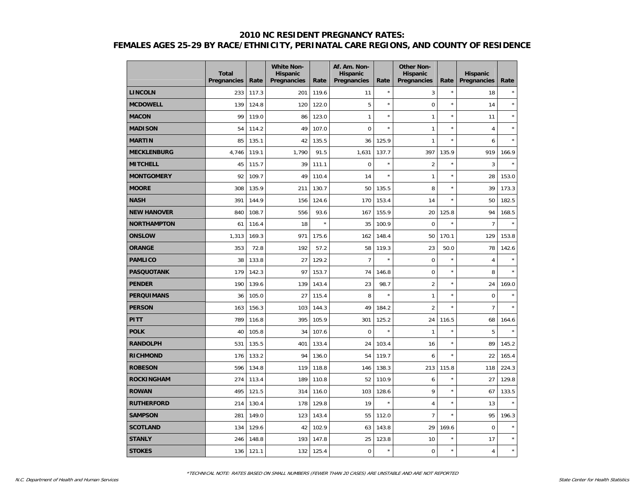|                    | <b>Total</b><br>Pregnancies | Rate  | <b>White Non-</b><br><b>Hispanic</b><br>Pregnancies | Rate    | Af. Am. Non-<br><b>Hispanic</b><br>Pregnancies | Rate    | <b>Other Non-</b><br><b>Hispanic</b><br>Pregnancies | Rate    | <b>Hispanic</b><br>Pregnancies | Rate    |
|--------------------|-----------------------------|-------|-----------------------------------------------------|---------|------------------------------------------------|---------|-----------------------------------------------------|---------|--------------------------------|---------|
| <b>LINCOLN</b>     | 233                         | 117.3 | 201                                                 | 119.6   | 11                                             | $\star$ | 3                                                   | $\star$ | 18                             | $\star$ |
| <b>MCDOWELL</b>    | 139                         | 124.8 | 120                                                 | 122.0   | 5                                              | $\star$ | $\mathbf 0$                                         | $\star$ | 14                             | $\star$ |
| <b>MACON</b>       | 99                          | 119.0 | 86                                                  | 123.0   | $\mathbf{1}$                                   | $\star$ | $\mathbf{1}$                                        | $\star$ | 11                             | ×       |
| <b>MADISON</b>     | 54                          | 114.2 | 49                                                  | 107.0   | $\mathbf 0$                                    | $\star$ | $\mathbf{1}$                                        | $\star$ | $\overline{4}$                 | $\star$ |
| <b>MARTIN</b>      | 85                          | 135.1 | 42                                                  | 135.5   | 36                                             | 125.9   | $\mathbf{1}$                                        | $\star$ | 6                              |         |
| <b>MECKLENBURG</b> | 4.746                       | 119.1 | 1,790                                               | 91.5    | 1,631                                          | 137.7   | 397                                                 | 135.9   | 919                            | 166.9   |
| <b>MITCHELL</b>    | 45                          | 115.7 | 39                                                  | 111.1   | $\Omega$                                       | $\star$ | $\overline{2}$                                      | $\star$ | 3                              | $\star$ |
| <b>MONTGOMERY</b>  | 92                          | 109.7 | 49                                                  | 110.4   | 14                                             | $\star$ | $\mathbf{1}$                                        | $\star$ | 28                             | 153.0   |
| <b>MOORE</b>       | 308                         | 135.9 | 211                                                 | 130.7   | 50                                             | 135.5   | 8                                                   | $\star$ | 39                             | 173.3   |
| <b>NASH</b>        | 391                         | 144.9 | 156                                                 | 124.6   | 170                                            | 153.4   | 14                                                  | $\star$ | 50                             | 182.5   |
| <b>NEW HANOVER</b> | 840                         | 108.7 | 556                                                 | 93.6    | 167                                            | 155.9   | 20                                                  | 125.8   | 94                             | 168.5   |
| <b>NORTHAMPTON</b> | 61                          | 116.4 | 18                                                  | $\star$ | 35                                             | 100.9   | $\Omega$                                            | $\star$ | $\overline{7}$                 | $\star$ |
| <b>ONSLOW</b>      | 1,313                       | 169.3 | 971                                                 | 175.6   | 162                                            | 148.4   | 50                                                  | 170.1   | 129                            | 153.8   |
| <b>ORANGE</b>      | 353                         | 72.8  | 192                                                 | 57.2    | 58                                             | 119.3   | 23                                                  | 50.0    | 78                             | 142.6   |
| <b>PAMLICO</b>     | 38                          | 133.8 | 27                                                  | 129.2   | $\overline{7}$                                 | $\star$ | $\mathbf 0$                                         | $\star$ | $\overline{4}$                 | $\star$ |
| <b>PASQUOTANK</b>  | 179                         | 142.3 | 97                                                  | 153.7   | 74                                             | 146.8   | $\mathbf 0$                                         | $\star$ | 8                              |         |
| <b>PENDER</b>      | 190                         | 139.6 | 139                                                 | 143.4   | 23                                             | 98.7    | $\overline{2}$                                      | $\star$ | 24                             | 169.0   |
| <b>PERQUIMANS</b>  | 36                          | 105.0 | 27                                                  | 115.4   | 8                                              | $\star$ | $\mathbf{1}$                                        | $\star$ | $\pmb{0}$                      | $\star$ |
| <b>PERSON</b>      | 163                         | 156.3 | 103                                                 | 144.3   | 49                                             | 184.2   | $\overline{2}$                                      | $\star$ | $\overline{7}$                 | $\star$ |
| PITT               | 789                         | 116.8 | 395                                                 | 105.9   | 301                                            | 125.2   | 24                                                  | 116.5   | 68                             | 164.6   |
| <b>POLK</b>        | 40                          | 105.8 | 34                                                  | 107.6   | $\Omega$                                       | $\star$ | $\mathbf{1}$                                        | $\star$ | 5                              |         |
| <b>RANDOLPH</b>    | 531                         | 135.5 | 401                                                 | 133.4   | 24                                             | 103.4   | 16                                                  | $\star$ | 89                             | 145.2   |
| <b>RICHMOND</b>    | 176                         | 133.2 | 94                                                  | 136.0   | 54                                             | 119.7   | 6                                                   | $\star$ | 22                             | 165.4   |
| <b>ROBESON</b>     | 596                         | 134.8 | 119                                                 | 118.8   | 146                                            | 138.3   | 213                                                 | 115.8   | 118                            | 224.3   |
| <b>ROCKINGHAM</b>  | 274                         | 113.4 | 189                                                 | 110.8   | 52                                             | 110.9   | 6                                                   | $\star$ | 27                             | 129.8   |
| <b>ROWAN</b>       | 495                         | 121.5 | 314                                                 | 116.0   | 103                                            | 128.6   | 9                                                   | $\star$ | 67                             | 133.5   |
| <b>RUTHERFORD</b>  | 214                         | 130.4 | 178                                                 | 129.8   | 19                                             | $\star$ | $\overline{\mathbf{4}}$                             | $\star$ | 13                             | $\star$ |
| <b>SAMPSON</b>     | 281                         | 149.0 | 123                                                 | 143.4   | 55                                             | 112.0   | $\overline{7}$                                      | $\star$ | 95                             | 196.3   |
| <b>SCOTLAND</b>    | 134                         | 129.6 | 42                                                  | 102.9   | 63                                             | 143.8   | 29                                                  | 169.6   | $\mathbf 0$                    |         |
| <b>STANLY</b>      | 246                         | 148.8 | 193                                                 | 147.8   | 25                                             | 123.8   | 10                                                  | $\star$ | 17                             | $\star$ |
| <b>STOKES</b>      | 136                         | 121.1 | 132                                                 | 125.4   | $\mathbf 0$                                    | $\star$ | $\mathbf 0$                                         | $\star$ | $\overline{4}$                 | $\star$ |